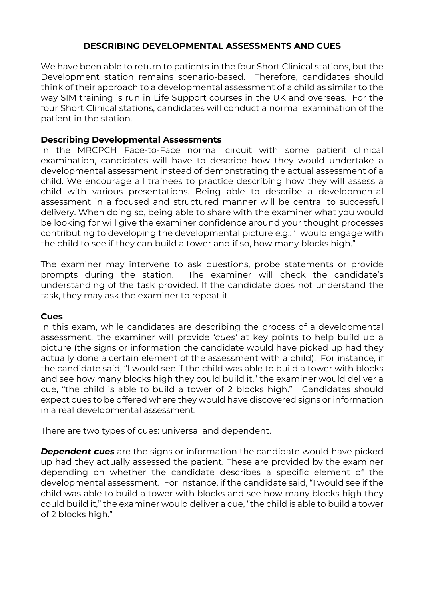# **DESCRIBING DEVELOPMENTAL ASSESSMENTS AND CUES**

We have been able to return to patients in the four Short Clinical stations, but the Development station remains scenario-based. Therefore, candidates should think of their approach to a developmental assessment of a child as similar to the way SIM training is run in Life Support courses in the UK and overseas. For the four Short Clinical stations, candidates will conduct a normal examination of the patient in the station.

### **Describing Developmental Assessments**

In the MRCPCH Face-to-Face normal circuit with some patient clinical examination, candidates will have to describe how they would undertake a developmental assessment instead of demonstrating the actual assessment of a child. We encourage all trainees to practice describing how they will assess a child with various presentations. Being able to describe a developmental assessment in a focused and structured manner will be central to successful delivery. When doing so, being able to share with the examiner what you would be looking for will give the examiner confidence around your thought processes contributing to developing the developmental picture e.g.: 'I would engage with the child to see if they can build a tower and if so, how many blocks high."

The examiner may intervene to ask questions, probe statements or provide prompts during the station. The examiner will check the candidate's understanding of the task provided. If the candidate does not understand the task, they may ask the examiner to repeat it.

#### **Cues**

In this exam, while candidates are describing the process of a developmental assessment, the examiner will provide '*cues'* at key points to help build up a picture (the signs or information the candidate would have picked up had they actually done a certain element of the assessment with a child). For instance, if the candidate said, "I would see if the child was able to build a tower with blocks and see how many blocks high they could build it," the examiner would deliver a cue, "the child is able to build a tower of 2 blocks high." Candidates should expect cues to be offered where they would have discovered signs or information in a real developmental assessment.

There are two types of cues: universal and dependent.

*Dependent cues* are the signs or information the candidate would have picked up had they actually assessed the patient. These are provided by the examiner depending on whether the candidate describes a specific element of the developmental assessment. For instance, if the candidate said, "I would see if the child was able to build a tower with blocks and see how many blocks high they could build it," the examiner would deliver a cue, "the child is able to build a tower of 2 blocks high."